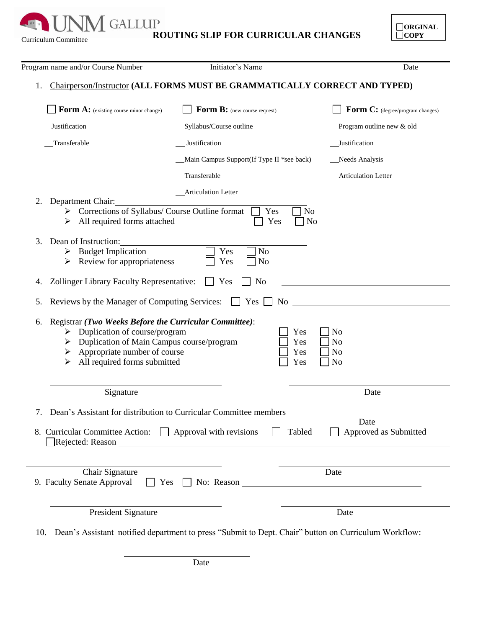**Curriculum Committee ROUTING SLIP FOR CURRICULAR CHANGES** 

í

**Expertise** 

| $\Box$ ORGINAL  |
|-----------------|
| $\mid$ $ $ COPY |
|                 |

|    | Program name and/or Course Number                                                                   | Initiator's Name                                                                  | Date                             |
|----|-----------------------------------------------------------------------------------------------------|-----------------------------------------------------------------------------------|----------------------------------|
| 1. |                                                                                                     | <b>Chairperson/Instructor (ALL FORMS MUST BE GRAMMATICALLY CORRECT AND TYPED)</b> |                                  |
|    | Form A: (existing course minor change)                                                              | Form B: (new course request)                                                      | Form C: (degree/program changes) |
|    | _Justification                                                                                      | _Syllabus/Course outline                                                          | Program outline new & old        |
|    | Transferable                                                                                        | Justification                                                                     | _Justification                   |
|    |                                                                                                     | Main Campus Support(If Type II *see back)                                         | Needs Analysis                   |
|    |                                                                                                     | Transferable                                                                      | _Articulation Letter             |
|    |                                                                                                     | <b>Articulation Letter</b>                                                        |                                  |
| 2. | Department Chair:                                                                                   |                                                                                   |                                  |
|    | $\triangleright$ Corrections of Syllabus/ Course Outline format<br>All required forms attached<br>➤ | Yes<br>No<br>Yes<br>N <sub>o</sub>                                                |                                  |
|    |                                                                                                     |                                                                                   |                                  |
| 3. | Dean of Instruction:<br>$\triangleright$ Budget Implication                                         | Yes<br>N <sub>o</sub>                                                             |                                  |
|    | Review for appropriateness<br>➤                                                                     | Yes<br>N <sub>o</sub>                                                             |                                  |
|    |                                                                                                     |                                                                                   |                                  |
| 4. | Zollinger Library Faculty Representative:                                                           | Yes<br>N <sub>o</sub>                                                             |                                  |
| 5. | Reviews by the Manager of Computing Services:                                                       | Yes<br>N <sub>0</sub>                                                             |                                  |
| 6. | Registrar (Two Weeks Before the Curricular Committee):                                              |                                                                                   |                                  |
|    | Duplication of course/program<br>➤                                                                  | Yes                                                                               | N <sub>o</sub>                   |
|    | Duplication of Main Campus course/program<br>➤                                                      | Yes                                                                               | N <sub>o</sub>                   |
|    | Appropriate number of course<br>➤<br>All required forms submitted                                   | Yes<br>Yes                                                                        | N <sub>o</sub><br>N <sub>o</sub> |
|    | ➤                                                                                                   |                                                                                   |                                  |
|    |                                                                                                     |                                                                                   |                                  |
|    | Signature                                                                                           |                                                                                   | Date                             |
|    |                                                                                                     |                                                                                   |                                  |
|    |                                                                                                     | Dean's Assistant for distribution to Curricular Committee members                 | Date                             |
|    | 8. Curricular Committee Action: Approval with revisions                                             | Tabled                                                                            | Approved as Submitted            |
|    |                                                                                                     |                                                                                   |                                  |
|    | Chair Signature                                                                                     |                                                                                   | Date                             |
|    | 9. Faculty Senate Approval<br>$\Box$ Yes                                                            | $\Box$ No: Reason $\Box$                                                          |                                  |
|    | President Signature                                                                                 |                                                                                   | Date                             |